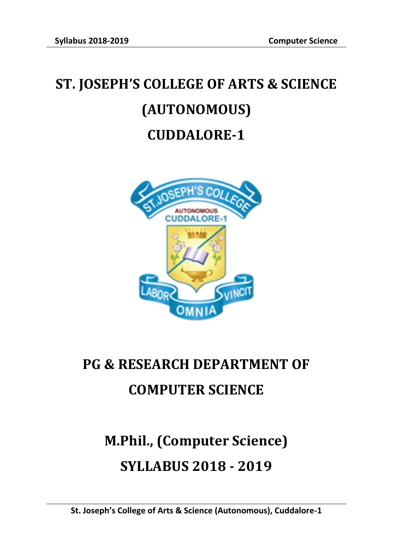# **ST. JOSEPH'S COLLEGE OF ARTS & SCIENCE (AUTONOMOUS) CUDDALORE-1**



# **PG & RESEARCH DEPARTMENT OF COMPUTER SCIENCE**

# **M.Phil., (Computer Science) SYLLABUS 2018 - 2019**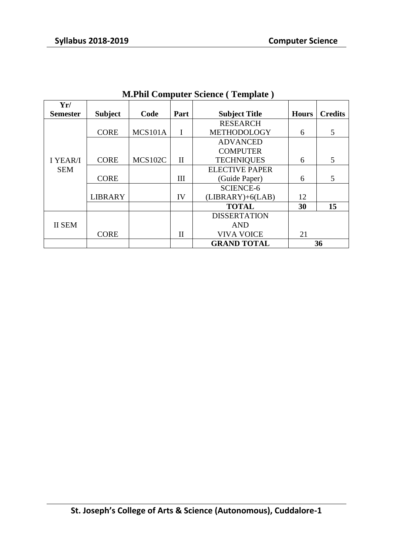|                                  | $111.1$ and $20111$ putch between $\sqrt{2}$ template $\sqrt{2}$ |                                                                                                                                                                                                                                                                                                                                                                                   |   |                 |              |                |  |  |  |  |  |
|----------------------------------|------------------------------------------------------------------|-----------------------------------------------------------------------------------------------------------------------------------------------------------------------------------------------------------------------------------------------------------------------------------------------------------------------------------------------------------------------------------|---|-----------------|--------------|----------------|--|--|--|--|--|
| Yr/                              |                                                                  |                                                                                                                                                                                                                                                                                                                                                                                   |   |                 |              |                |  |  |  |  |  |
|                                  | <b>Subject</b>                                                   |                                                                                                                                                                                                                                                                                                                                                                                   |   |                 | <b>Hours</b> | <b>Credits</b> |  |  |  |  |  |
|                                  |                                                                  |                                                                                                                                                                                                                                                                                                                                                                                   |   | <b>RESEARCH</b> |              |                |  |  |  |  |  |
|                                  | <b>CORE</b>                                                      | Code<br>Part<br><b>Subject Title</b><br>MCS101A<br><b>METHODOLOGY</b><br><b>ADVANCED</b><br><b>COMPUTER</b><br><b>MCS102C</b><br><b>TECHNIQUES</b><br>$\mathbf{I}$<br><b>ELECTIVE PAPER</b><br>Ш<br>(Guide Paper)<br><b>SCIENCE-6</b><br>IV<br>$(LIBRARY)+6(LAB)$<br><b>TOTAL</b><br><b>DISSERTATION</b><br><b>AND</b><br>$\mathbf{I}$<br><b>VIVA VOICE</b><br><b>GRAND TOTAL</b> | 6 | 5               |              |                |  |  |  |  |  |
|                                  |                                                                  |                                                                                                                                                                                                                                                                                                                                                                                   |   |                 |              |                |  |  |  |  |  |
|                                  |                                                                  |                                                                                                                                                                                                                                                                                                                                                                                   |   |                 |              |                |  |  |  |  |  |
| <b>I YEAR/I</b>                  | <b>CORE</b>                                                      |                                                                                                                                                                                                                                                                                                                                                                                   |   |                 | 6            | 5              |  |  |  |  |  |
| <b>SEM</b>                       |                                                                  |                                                                                                                                                                                                                                                                                                                                                                                   |   |                 |              |                |  |  |  |  |  |
|                                  | <b>CORE</b>                                                      |                                                                                                                                                                                                                                                                                                                                                                                   |   | 6               | 5            |                |  |  |  |  |  |
|                                  |                                                                  |                                                                                                                                                                                                                                                                                                                                                                                   |   |                 |              |                |  |  |  |  |  |
|                                  | <b>LIBRARY</b>                                                   |                                                                                                                                                                                                                                                                                                                                                                                   |   |                 | 12           |                |  |  |  |  |  |
|                                  |                                                                  |                                                                                                                                                                                                                                                                                                                                                                                   |   |                 | 30           | 15             |  |  |  |  |  |
|                                  |                                                                  |                                                                                                                                                                                                                                                                                                                                                                                   |   |                 |              |                |  |  |  |  |  |
| <b>Semester</b><br><b>II SEM</b> |                                                                  |                                                                                                                                                                                                                                                                                                                                                                                   |   |                 |              |                |  |  |  |  |  |
|                                  | <b>CORE</b>                                                      |                                                                                                                                                                                                                                                                                                                                                                                   |   |                 | 21           |                |  |  |  |  |  |
|                                  |                                                                  |                                                                                                                                                                                                                                                                                                                                                                                   |   |                 |              | 36             |  |  |  |  |  |

### **M.Phil Computer Science ( Template )**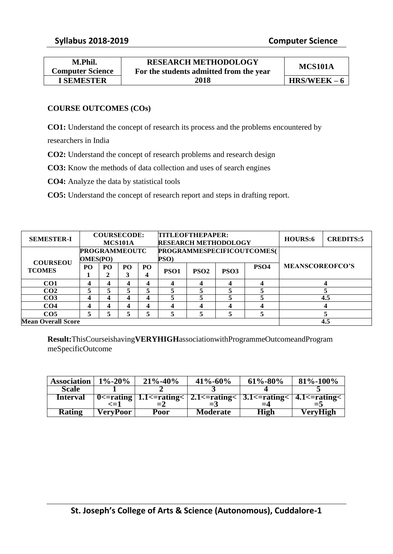| <b>RESEARCH METHODOLOGY</b>             |                |
|-----------------------------------------|----------------|
| For the students admitted from the year | MCS101A        |
| 2018                                    | $HRS/WEEK - 6$ |
|                                         |                |

#### **COURSE OUTCOMES (COs)**

**CO1:** Understand the concept of research its process and the problems encountered by

researchers in India

**CO2:** Understand the concept of research problems and research design

**CO3:** Know the methods of data collection and uses of search engines

**CO4:** Analyze the data by statistical tools

**CO5:** Understand the concept of research report and steps in drafting report.

| <b>SEMESTER-I</b>         | <b>COURSECODE:</b>      |                |                 | TITLEOFTHEPAPER: |                            |                  |                             | <b>HOURS:6</b>   | <b>CREDITS:5</b>       |     |  |
|---------------------------|-------------------------|----------------|-----------------|------------------|----------------------------|------------------|-----------------------------|------------------|------------------------|-----|--|
|                           |                         |                | MCS101A         |                  |                            |                  | <b>RESEARCH METHODOLOGY</b> |                  |                        |     |  |
|                           | <b>PROGRAMMEOUTC</b>    |                |                 |                  | PROGRAMMESPECIFICOUTCOMES( |                  |                             |                  |                        |     |  |
| <b>COURSEOU</b>           | <b>OMES(PO)</b>         |                |                 |                  | PSO)                       |                  |                             |                  | <b>MEANSCOREOFCO'S</b> |     |  |
| <b>TCOMES</b>             | PO <sub>1</sub>         | P <sub>O</sub> | PO <sub>1</sub> | PO <sub>1</sub>  |                            | PSO <sub>2</sub> | PSO <sub>3</sub>            | PSO <sub>4</sub> |                        |     |  |
|                           |                         | 2              |                 |                  | PSO <sub>1</sub>           |                  |                             |                  |                        |     |  |
| CO <sub>1</sub>           |                         |                |                 |                  | 4                          | 4                |                             |                  |                        |     |  |
| CO <sub>2</sub>           |                         |                |                 |                  |                            | 5                |                             |                  |                        |     |  |
| CO <sub>3</sub>           | 4                       |                |                 |                  | 5                          | 5                |                             |                  |                        | 4.5 |  |
| CO <sub>4</sub>           | $\overline{\mathbf{4}}$ |                |                 |                  | 4                          | 4                | 4                           |                  |                        |     |  |
| CO <sub>5</sub>           | 5                       |                |                 |                  | 5                          | 5                |                             |                  |                        |     |  |
| <b>Mean Overall Score</b> |                         |                |                 |                  |                            |                  |                             |                  |                        | 4.5 |  |

**Result:**ThisCourseishaving**VERYHIGH**associationwithProgrammeOutcomeandProgram meSpecificOutcome

| <b>Association</b> | $1\% - 20\%$ | $21\% - 40\%$ | $41\% - 60\%$                                                         | $61\% - 80\%$ | $81\% - 100\%$ |
|--------------------|--------------|---------------|-----------------------------------------------------------------------|---------------|----------------|
| <b>Scale</b>       |              |               |                                                                       |               |                |
| <b>Interval</b>    |              |               | 0<=rating   1.1<=rating<   2.1<=rating<   3.1<=rating<   4.1<=rating< |               |                |
|                    | ∕=1          |               |                                                                       | $=4$          | $=$ 5          |
| <b>Rating</b>      | VeryPoor     | Poor          | <b>Moderate</b>                                                       | <b>High</b>   | VeryHigh       |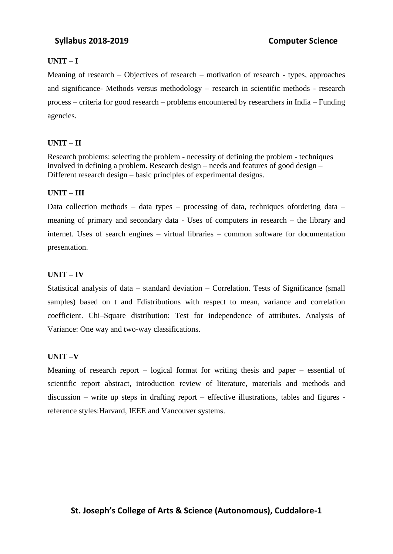#### **UNIT – I**

Meaning of research – Objectives of research – motivation of research - types, approaches and significance- Methods versus methodology – research in scientific methods - research process – criteria for good research – problems encountered by researchers in India – Funding agencies.

#### **UNIT – II**

Research problems: selecting the problem - necessity of defining the problem - techniques involved in defining a problem. Research design – needs and features of good design – Different research design – basic principles of experimental designs.

#### **UNIT – III**

Data collection methods – data types – processing of data, techniques ofordering data – meaning of primary and secondary data - Uses of computers in research – the library and internet. Uses of search engines – virtual libraries – common software for documentation presentation.

#### **UNIT – IV**

Statistical analysis of data – standard deviation – Correlation. Tests of Significance (small samples) based on t and Fdistributions with respect to mean, variance and correlation coefficient. Chi–Square distribution: Test for independence of attributes. Analysis of Variance: One way and two-way classifications.

#### **UNIT –V**

Meaning of research report – logical format for writing thesis and paper – essential of scientific report abstract, introduction review of literature, materials and methods and discussion – write up steps in drafting report – effective illustrations, tables and figures reference styles:Harvard, IEEE and Vancouver systems.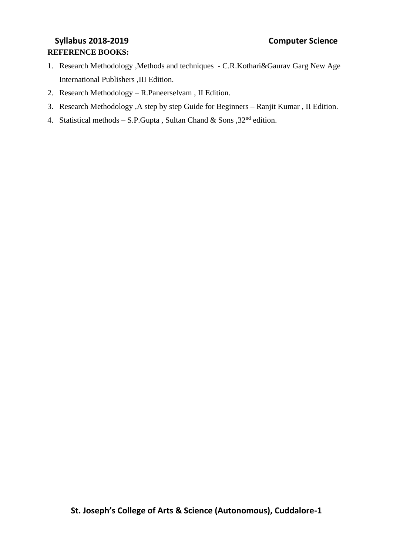# **Syllabus 2018-2019 Computer Science**

#### **REFERENCE BOOKS:**

- 1. Research Methodology ,Methods and techniques C.R.Kothari&Gaurav Garg New Age International Publishers ,III Edition.
- 2. Research Methodology R.Paneerselvam , II Edition.
- 3. Research Methodology ,A step by step Guide for Beginners Ranjit Kumar , II Edition.
- 4. Statistical methods S.P.Gupta, Sultan Chand & Sons,  $32<sup>nd</sup>$  edition.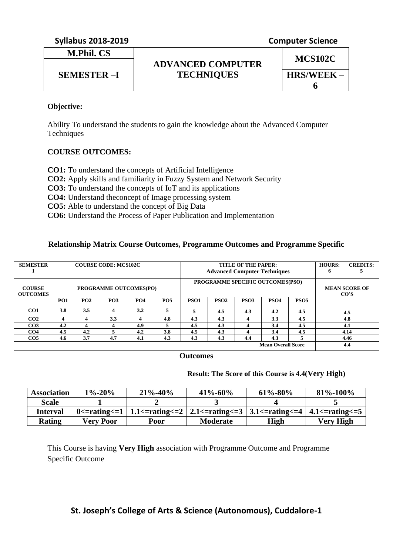|  | <b>Syllabus 2018-2019</b> |
|--|---------------------------|
|--|---------------------------|

**M.Phil. CS**

**Computer Science** 

# **ADVANCED COMPUTER TECHNIQUES SEMESTER –I HRS/WEEK –**

**MCS102C**

**6**

#### **Objective:**

Ability To understand the students to gain the knowledge about the Advanced Computer **Techniques** 

### **COURSE OUTCOMES:**

**CO1:** To understand the concepts of Artificial Intelligence **CO2:** Apply skills and familiarity in Fuzzy System and Network Security **CO3:** To understand the concepts of IoT and its applications **CO4:** Understand theconcept of Image processing system **CO5:** Able to understand the concept of Big Data **CO6:** Understand the Process of Paper Publication and Implementation

### **Relationship Matrix Course Outcomes, Programme Outcomes and Programme Specific**

| <b>SEMESTER</b>                  |                 |     | <b>COURSE CODE: MCS102C</b> |                               |            | <b>TITLE OF THE PAPER:</b><br><b>Advanced Computer Techniques</b> |                  |                  |                           |                  | <b>HOURS:</b><br>$\mathbf o$   | <b>CREDITS:</b> |  |
|----------------------------------|-----------------|-----|-----------------------------|-------------------------------|------------|-------------------------------------------------------------------|------------------|------------------|---------------------------|------------------|--------------------------------|-----------------|--|
| <b>COURSE</b><br><b>OUTCOMES</b> |                 |     |                             | <b>PROGRAMME OUTCOMES(PO)</b> |            | PROGRAMME SPECIFIC OUTCOMES(PSO)                                  |                  |                  |                           |                  | <b>MEAN SCORE OF</b><br>$\cos$ |                 |  |
|                                  | PO <sub>1</sub> | PO2 | PO <sub>3</sub>             | <b>PO4</b>                    | <b>PO5</b> | PSO <sub>1</sub>                                                  | PSO <sub>2</sub> | PSO <sub>3</sub> | PSO <sub>4</sub>          | PSO <sub>5</sub> |                                |                 |  |
| CO <sub>1</sub>                  | 3.8             | 3.5 | 4                           | 3.2                           | 5          |                                                                   | 4.5              | 4.3              | 4.2                       | 4.5              |                                | 4.5             |  |
| CO <sub>2</sub>                  | 4               | 4   | 3.3                         |                               | 4.8        | 4.3                                                               | 4.3              |                  | 3.3                       | 4.5              |                                | 4.8             |  |
| CO <sub>3</sub>                  | 4.2             | 4   | 4                           | 4.9                           | 5          | 4.5                                                               | 4.3              |                  | 3.4                       | 4.5              |                                | 4.1             |  |
| CO <sub>4</sub>                  | 4.5             | 4.2 | 5                           | 4.2                           | 3.8        | 4.5                                                               | 4.3              |                  | 3.4                       | 4.5              |                                | 4.14            |  |
| CO <sub>5</sub>                  | 4.6             | 3.7 | 4.7                         | 4.1                           | 4.3        | 4.3                                                               | 4.3              | 4.4              | 4.3                       |                  |                                | 4.46            |  |
|                                  |                 |     |                             |                               |            |                                                                   |                  |                  | <b>Mean Overall Score</b> |                  |                                | 4.4             |  |

#### **Outcomes**

#### **Result: The Score of this Course is 4.4(Very High)**

| <b>Association</b> | $1\% - 20\%$     | $21\% - 40\%$                                                                                                                                                                                       | $41\% - 60\%$   | $61\% - 80\%$ | 81\%-100\% |
|--------------------|------------------|-----------------------------------------------------------------------------------------------------------------------------------------------------------------------------------------------------|-----------------|---------------|------------|
| Scale              |                  |                                                                                                                                                                                                     |                 |               |            |
| <b>Interval</b>    |                  | 0 $\epsilon$ -rating $\epsilon$ = 1   1.1 $\epsilon$ -rating $\epsilon$ = 2   2.1 $\epsilon$ -rating $\epsilon$ = 3   3.1 $\epsilon$ -rating $\epsilon$ = 4   4.1 $\epsilon$ -rating $\epsilon$ = 5 |                 |               |            |
| Rating             | <b>Verv Poor</b> | Poor                                                                                                                                                                                                | <b>Moderate</b> | High          | Very High  |

This Course is having **Very High** association with Programme Outcome and Programme Specific Outcome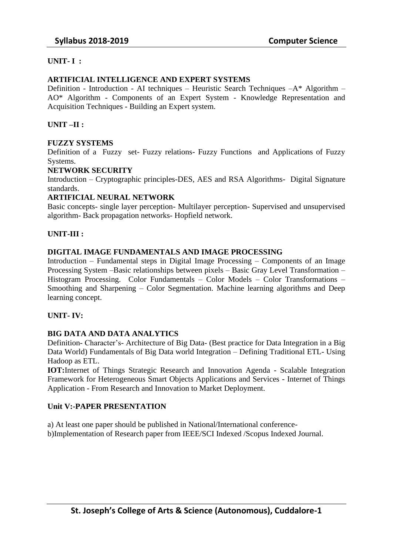#### **UNIT- I :**

#### **ARTIFICIAL INTELLIGENCE AND EXPERT SYSTEMS**

Definition - Introduction - AI techniques – Heuristic Search Techniques –A\* Algorithm – AO\* Algorithm - Components of an Expert System - Knowledge Representation and Acquisition Techniques - Building an Expert system.

#### **UNIT –II :**

#### **FUZZY SYSTEMS**

Definition of a Fuzzy set- Fuzzy relations- Fuzzy Functions and Applications of Fuzzy Systems.

#### **NETWORK SECURITY**

Introduction – Cryptographic principles-DES, AES and RSA Algorithms- Digital Signature standards.

#### **ARTIFICIAL NEURAL NETWORK**

Basic concepts- single layer perception- Multilayer perception- Supervised and unsupervised algorithm- Back propagation networks- Hopfield network.

#### **UNIT-III :**

#### **DIGITAL IMAGE FUNDAMENTALS AND IMAGE PROCESSING**

Introduction – Fundamental steps in Digital Image Processing – Components of an Image Processing System –Basic relationships between pixels – Basic Gray Level Transformation – Histogram Processing. Color Fundamentals – Color Models – Color Transformations – Smoothing and Sharpening – Color Segmentation. Machine learning algorithms and Deep learning concept.

#### **UNIT- IV:**

#### **BIG DATA AND DATA ANALYTICS**

Definition- Character's- Architecture of Big Data- (Best practice for Data Integration in a Big Data World) Fundamentals of Big Data world Integration – Defining Traditional ETL- Using Hadoop as ETL.

**IOT:**Internet of Things Strategic Research and Innovation Agenda - Scalable Integration Framework for Heterogeneous Smart Objects Applications and Services - Internet of Things Application - From Research and Innovation to Market Deployment.

#### **Unit V:-PAPER PRESENTATION**

a) At least one paper should be published in National/International conferenceb)Implementation of Research paper from IEEE/SCI Indexed /Scopus Indexed Journal.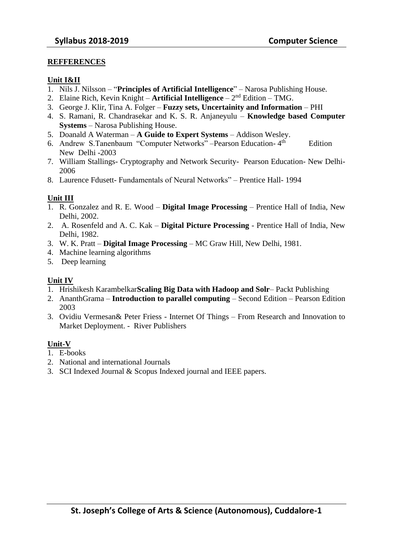#### **REFFERENCES**

#### **Unit I&II**

- 1. Nils J. Nilsson "**Principles of Artificial Intelligence**" Narosa Publishing House.
- 2. Elaine Rich, Kevin Knight **Artificial Intelligence** 2<sup>nd</sup> Edition TMG.
- 3. George J. Klir, Tina A. Folger **Fuzzy sets, Uncertainity and Information** PHI
- 4. S. Ramani, R. Chandrasekar and K. S. R. Anjaneyulu **Knowledge based Computer Systems** – Narosa Publishing House.
- 5. Doanald A Waterman **A Guide to Expert Systems** Addison Wesley.
- 6. Andrew S.Tanenbaum "Computer Networks" –Pearson Education- 4 **Edition** New Delhi -2003
- 7. William Stallings- Cryptography and Network Security- Pearson Education- New Delhi-2006
- 8. Laurence Fdusett- Fundamentals of Neural Networks" Prentice Hall- 1994

#### **Unit III**

- 1. R. Gonzalez and R. E. Wood **Digital Image Processing** Prentice Hall of India, New Delhi, 2002.
- 2. A. Rosenfeld and A. C. Kak **Digital Picture Processing** Prentice Hall of India, New Delhi, 1982.
- 3. W. K. Pratt **Digital Image Processing** MC Graw Hill, New Delhi, 1981.
- 4. Machine learning algorithms
- 5. Deep learning

#### **Unit IV**

- 1. Hrishikesh Karambelkar**Scaling Big Data with Hadoop and Solr** Packt Publishing
- 2. AnanthGrama **Introduction to parallel computing**  Second Edition Pearson Edition 2003
- 3. Ovidiu Vermesan& Peter Friess Internet Of Things From Research and Innovation to Market Deployment. - River Publishers

#### **Unit-V**

- 1. E-books
- 2. National and international Journals
- 3. SCI Indexed Journal & Scopus Indexed journal and IEEE papers.